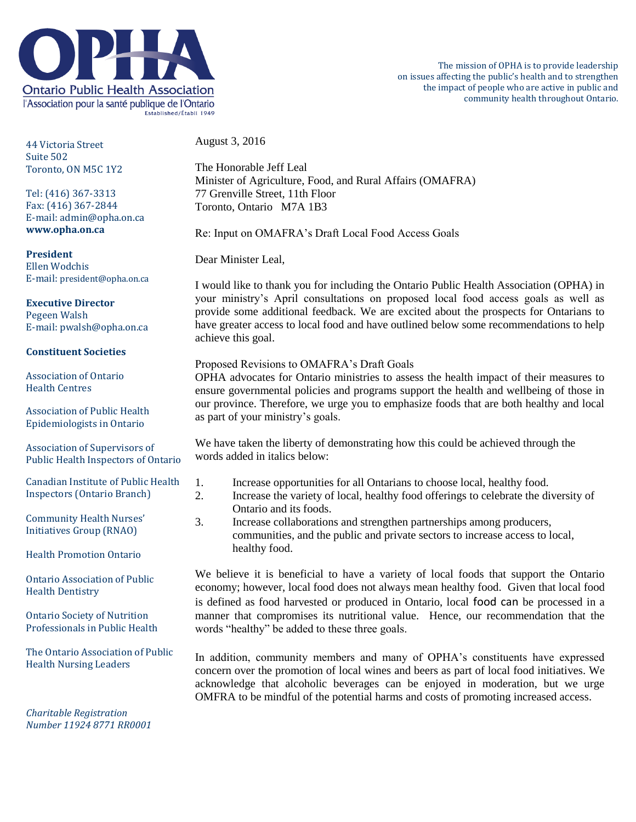

44 Victoria Street Suite 502 Toronto, ON M5C 1Y2

Tel: (416) 367-3313 Fax: (416) 367-2844 E-mail: admin@opha.on.ca **www.opha.on.ca**

**President** Ellen Wodchis E-mail: president@opha.on.ca

**Executive Director** Pegeen Walsh E-mail: pwalsh@opha.on.ca

## **Constituent Societies**

Association of Ontario Health Centres

Association of Public Health Epidemiologists in Ontario

Association of Supervisors of Public Health Inspectors of Ontario

Canadian Institute of Public Health Inspectors (Ontario Branch)

Community Health Nurses' Initiatives Group (RNAO)

Health Promotion Ontario

Ontario Association of Public Health Dentistry

Ontario Society of Nutrition Professionals in Public Health

The Ontario Association of Public Health Nursing Leaders

*Charitable Registration Number 11924 8771 RR0001* August 3, 2016

The Honorable Jeff Leal Minister of Agriculture, Food, and Rural Affairs (OMAFRA) 77 Grenville Street, 11th Floor Toronto, Ontario M7A 1B3

Re: Input on OMAFRA's Draft Local Food Access Goals

Dear Minister Leal,

I would like to thank you for including the Ontario Public Health Association (OPHA) in your ministry's April consultations on proposed local food access goals as well as provide some additional feedback. We are excited about the prospects for Ontarians to have greater access to local food and have outlined below some recommendations to help achieve this goal.

## Proposed Revisions to OMAFRA's Draft Goals

OPHA advocates for Ontario ministries to assess the health impact of their measures to ensure governmental policies and programs support the health and wellbeing of those in our province. Therefore, we urge you to emphasize foods that are both healthy and local as part of your ministry's goals.

We have taken the liberty of demonstrating how this could be achieved through the words added in italics below:

- 1. Increase opportunities for all Ontarians to choose local, healthy food.
- 2. Increase the variety of local, healthy food offerings to celebrate the diversity of Ontario and its foods.
- 3. Increase collaborations and strengthen partnerships among producers, communities, and the public and private sectors to increase access to local, healthy food.

We believe it is beneficial to have a variety of local foods that support the Ontario economy; however, local food does not always mean healthy food. Given that local food is defined as food harvested or produced in Ontario, local food can be processed in a manner that compromises its nutritional value. Hence, our recommendation that the words "healthy" be added to these three goals.

In addition, community members and many of OPHA's constituents have expressed concern over the promotion of local wines and beers as part of local food initiatives. We acknowledge that alcoholic beverages can be enjoyed in moderation, but we urge OMFRA to be mindful of the potential harms and costs of promoting increased access.